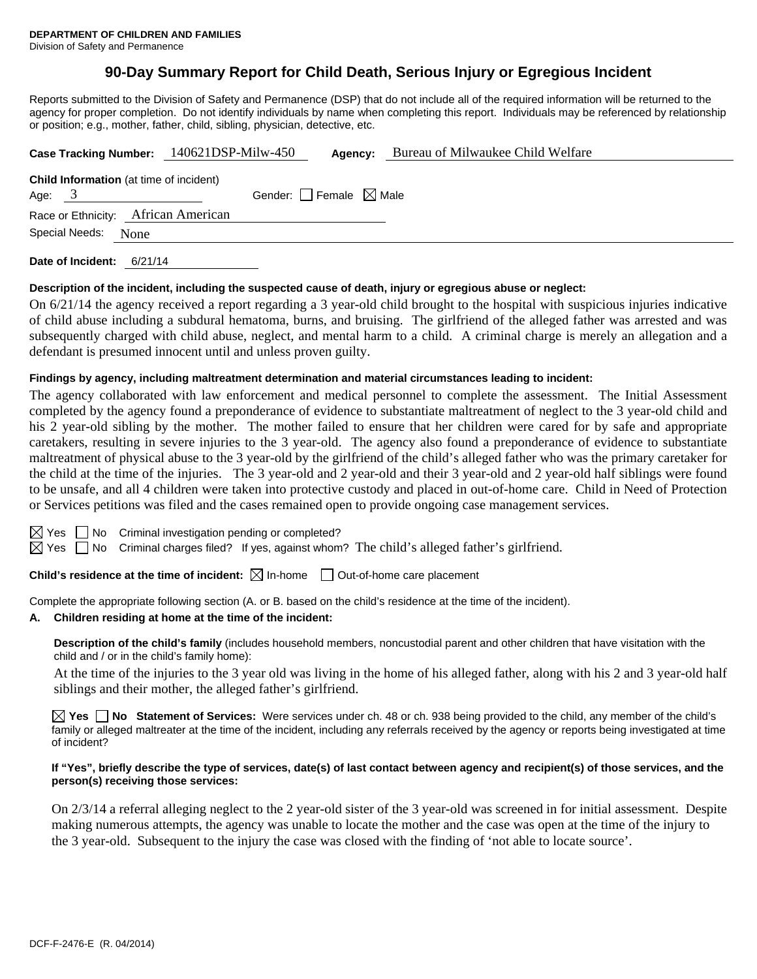# **90-Day Summary Report for Child Death, Serious Injury or Egregious Incident**

Reports submitted to the Division of Safety and Permanence (DSP) that do not include all of the required information will be returned to the agency for proper completion. Do not identify individuals by name when completing this report. Individuals may be referenced by relationship or position; e.g., mother, father, child, sibling, physician, detective, etc.

|                                                            | Case Tracking Number: 140621DSP-Milw-450 | Agency:                         | Bureau of Milwaukee Child Welfare |  |
|------------------------------------------------------------|------------------------------------------|---------------------------------|-----------------------------------|--|
| <b>Child Information</b> (at time of incident)<br>Age: $3$ |                                          | Gender: Female $\boxtimes$ Male |                                   |  |
| Race or Ethnicity: African American                        |                                          |                                 |                                   |  |
| Special Needs: None                                        |                                          |                                 |                                   |  |
| Date of Incident:<br>6/21/14                               |                                          |                                 |                                   |  |

# **Description of the incident, including the suspected cause of death, injury or egregious abuse or neglect:**

On 6/21/14 the agency received a report regarding a 3 year-old child brought to the hospital with suspicious injuries indicative of child abuse including a subdural hematoma, burns, and bruising. The girlfriend of the alleged father was arrested and was subsequently charged with child abuse, neglect, and mental harm to a child. A criminal charge is merely an allegation and a defendant is presumed innocent until and unless proven guilty.

# **Findings by agency, including maltreatment determination and material circumstances leading to incident:**

The agency collaborated with law enforcement and medical personnel to complete the assessment. The Initial Assessment completed by the agency found a preponderance of evidence to substantiate maltreatment of neglect to the 3 year-old child and his 2 year-old sibling by the mother. The mother failed to ensure that her children were cared for by safe and appropriate caretakers, resulting in severe injuries to the 3 year-old. The agency also found a preponderance of evidence to substantiate maltreatment of physical abuse to the 3 year-old by the girlfriend of the child's alleged father who was the primary caretaker for the child at the time of the injuries. The 3 year-old and 2 year-old and their 3 year-old and 2 year-old half siblings were found to be unsafe, and all 4 children were taken into protective custody and placed in out-of-home care. Child in Need of Protection or Services petitions was filed and the cases remained open to provide ongoing case management services.

| I      |  |
|--------|--|
| ш<br>ш |  |

 $\Box$  No Criminal investigation pending or completed?

 $\boxtimes$  Yes  $\Box$  No Criminal charges filed? If yes, against whom? The child's alleged father's girlfriend.

**Child's residence at the time of incident:**  $\boxtimes$  In-home  $\Box$  Out-of-home care placement

Complete the appropriate following section (A. or B. based on the child's residence at the time of the incident).

#### **A. Children residing at home at the time of the incident:**

**Description of the child's family** (includes household members, noncustodial parent and other children that have visitation with the child and / or in the child's family home):

 At the time of the injuries to the 3 year old was living in the home of his alleged father, along with his 2 and 3 year-old half siblings and their mother, the alleged father's girlfriend.

**Yes No Statement of Services:** Were services under ch. 48 or ch. 938 being provided to the child, any member of the child's family or alleged maltreater at the time of the incident, including any referrals received by the agency or reports being investigated at time of incident?

# **If "Yes", briefly describe the type of services, date(s) of last contact between agency and recipient(s) of those services, and the person(s) receiving those services:**

On 2/3/14 a referral alleging neglect to the 2 year-old sister of the 3 year-old was screened in for initial assessment. Despite making numerous attempts, the agency was unable to locate the mother and the case was open at the time of the injury to the 3 year-old. Subsequent to the injury the case was closed with the finding of 'not able to locate source'.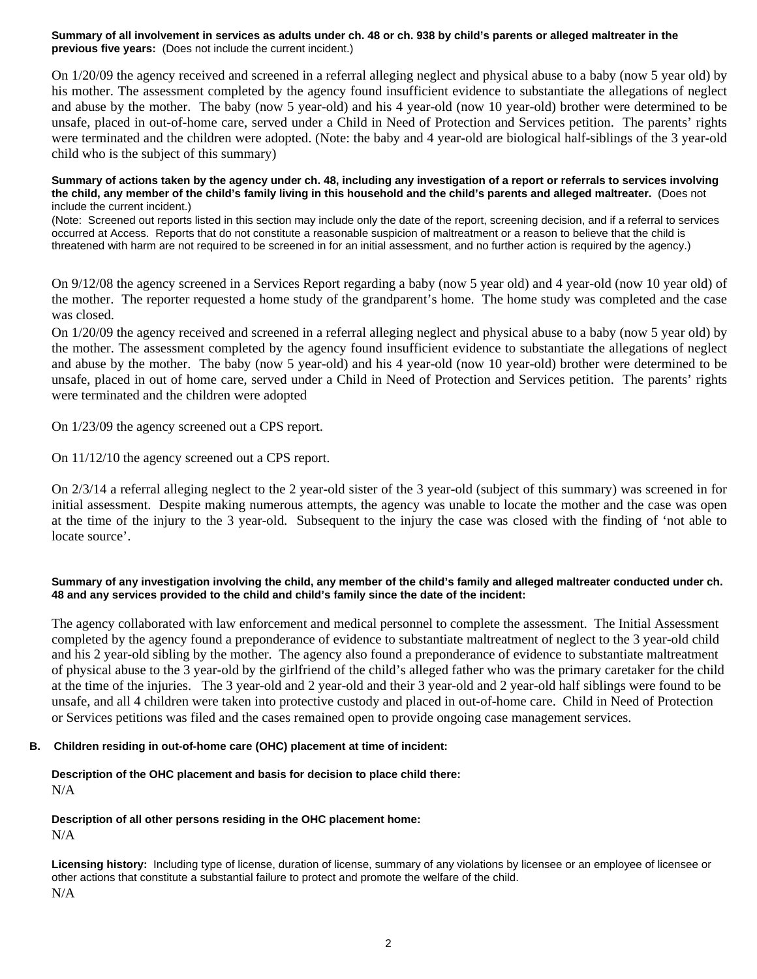# **Summary of all involvement in services as adults under ch. 48 or ch. 938 by child's parents or alleged maltreater in the previous five years:** (Does not include the current incident.)

On 1/20/09 the agency received and screened in a referral alleging neglect and physical abuse to a baby (now 5 year old) by his mother. The assessment completed by the agency found insufficient evidence to substantiate the allegations of neglect and abuse by the mother. The baby (now 5 year-old) and his 4 year-old (now 10 year-old) brother were determined to be unsafe, placed in out-of-home care, served under a Child in Need of Protection and Services petition. The parents' rights were terminated and the children were adopted. (Note: the baby and 4 year-old are biological half-siblings of the 3 year-old child who is the subject of this summary)

#### **Summary of actions taken by the agency under ch. 48, including any investigation of a report or referrals to services involving the child, any member of the child's family living in this household and the child's parents and alleged maltreater.** (Does not include the current incident.)

(Note: Screened out reports listed in this section may include only the date of the report, screening decision, and if a referral to services occurred at Access. Reports that do not constitute a reasonable suspicion of maltreatment or a reason to believe that the child is threatened with harm are not required to be screened in for an initial assessment, and no further action is required by the agency.)

On 9/12/08 the agency screened in a Services Report regarding a baby (now 5 year old) and 4 year-old (now 10 year old) of the mother. The reporter requested a home study of the grandparent's home. The home study was completed and the case was closed.

On 1/20/09 the agency received and screened in a referral alleging neglect and physical abuse to a baby (now 5 year old) by the mother. The assessment completed by the agency found insufficient evidence to substantiate the allegations of neglect and abuse by the mother. The baby (now 5 year-old) and his 4 year-old (now 10 year-old) brother were determined to be unsafe, placed in out of home care, served under a Child in Need of Protection and Services petition. The parents' rights were terminated and the children were adopted

On 1/23/09 the agency screened out a CPS report.

On 11/12/10 the agency screened out a CPS report.

On 2/3/14 a referral alleging neglect to the 2 year-old sister of the 3 year-old (subject of this summary) was screened in for initial assessment. Despite making numerous attempts, the agency was unable to locate the mother and the case was open at the time of the injury to the 3 year-old. Subsequent to the injury the case was closed with the finding of 'not able to locate source'.

# **Summary of any investigation involving the child, any member of the child's family and alleged maltreater conducted under ch. 48 and any services provided to the child and child's family since the date of the incident:**

The agency collaborated with law enforcement and medical personnel to complete the assessment. The Initial Assessment completed by the agency found a preponderance of evidence to substantiate maltreatment of neglect to the 3 year-old child and his 2 year-old sibling by the mother. The agency also found a preponderance of evidence to substantiate maltreatment of physical abuse to the 3 year-old by the girlfriend of the child's alleged father who was the primary caretaker for the child at the time of the injuries. The 3 year-old and 2 year-old and their 3 year-old and 2 year-old half siblings were found to be unsafe, and all 4 children were taken into protective custody and placed in out-of-home care. Child in Need of Protection or Services petitions was filed and the cases remained open to provide ongoing case management services.

# **B. Children residing in out-of-home care (OHC) placement at time of incident:**

**Description of the OHC placement and basis for decision to place child there:** N/A

# **Description of all other persons residing in the OHC placement home:**

N/A

**Licensing history:** Including type of license, duration of license, summary of any violations by licensee or an employee of licensee or other actions that constitute a substantial failure to protect and promote the welfare of the child. N/A